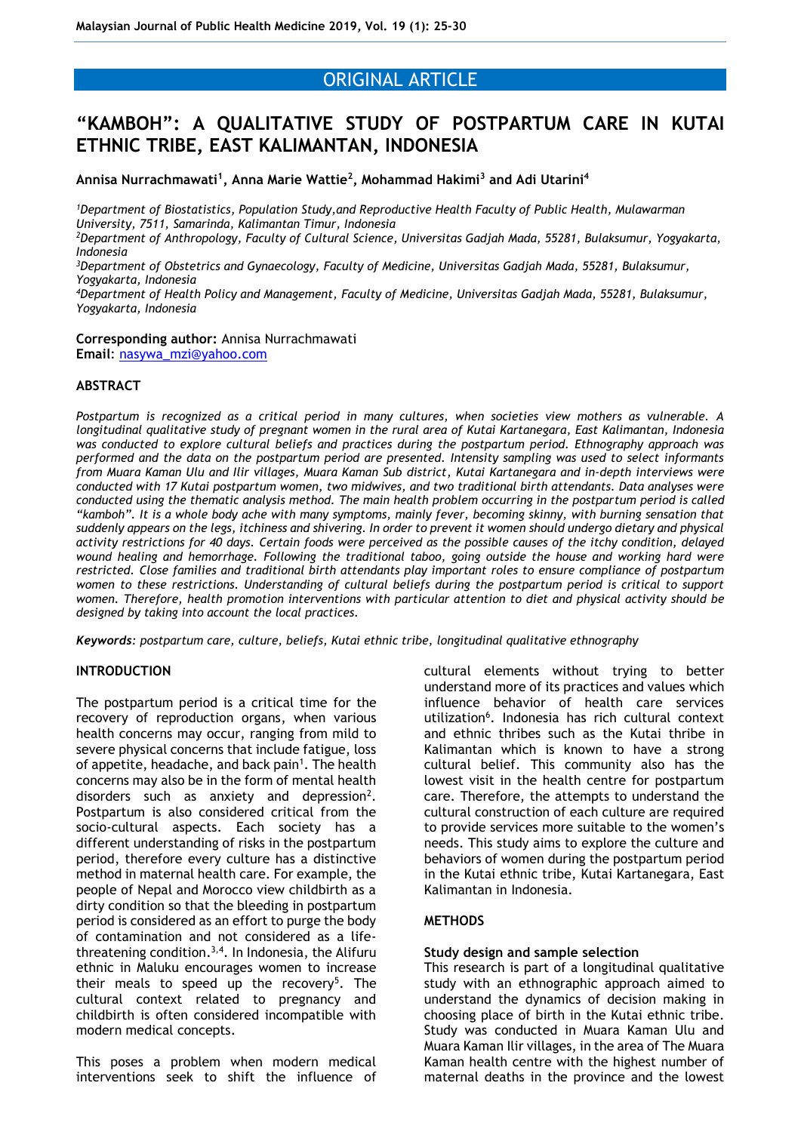# ORIGINAL ARTICLE

# **"KAMBOH": A QUALITATIVE STUDY OF POSTPARTUM CARE IN KUTAI ETHNIC TRIBE, EAST KALIMANTAN, INDONESIA**

**Annisa Nurrachmawati<sup>1</sup> , Anna Marie Wattie<sup>2</sup> , Mohammad Hakimi<sup>3</sup> and Adi Utarini<sup>4</sup>**

*<sup>1</sup>Department of Biostatistics, Population Study,and Reproductive Health Faculty of Public Health, Mulawarman University, 7511, Samarinda, Kalimantan Timur, Indonesia*

*<sup>2</sup>Department of Anthropology, Faculty of Cultural Science, Universitas Gadjah Mada, 55281, Bulaksumur, Yogyakarta, Indonesia*

*<sup>3</sup>Department of Obstetrics and Gynaecology, Faculty of Medicine, Universitas Gadjah Mada, 55281, Bulaksumur, Yogyakarta, Indonesia*

*<sup>4</sup>Department of Health Policy and Management, Faculty of Medicine, Universitas Gadjah Mada, 55281, Bulaksumur, Yogyakarta, Indonesia*

**Corresponding author:** Annisa Nurrachmawati **Email**: [nasywa\\_mzi@yahoo.com](mailto:nasywa_mzi@yahoo.com)

# **ABSTRACT**

*Postpartum is recognized as a critical period in many cultures, when societies view mothers as vulnerable. A longitudinal qualitative study of pregnant women in the rural area of Kutai Kartanegara, East Kalimantan, Indonesia was conducted to explore cultural beliefs and practices during the postpartum period. Ethnography approach was performed and the data on the postpartum period are presented. Intensity sampling was used to select informants from Muara Kaman Ulu and Ilir villages, Muara Kaman Sub district, Kutai Kartanegara and in-depth interviews were conducted with 17 Kutai postpartum women, two midwives, and two traditional birth attendants. Data analyses were conducted using the thematic analysis method. The main health problem occurring in the postpartum period is called "kamboh". It is a whole body ache with many symptoms, mainly fever, becoming skinny, with burning sensation that suddenly appears on the legs, itchiness and shivering. In order to prevent it women should undergo dietary and physical activity restrictions for 40 days. Certain foods were perceived as the possible causes of the itchy condition, delayed wound healing and hemorrhage. Following the traditional taboo, going outside the house and working hard were restricted. Close families and traditional birth attendants play important roles to ensure compliance of postpartum women to these restrictions. Understanding of cultural beliefs during the postpartum period is critical to support women. Therefore, health promotion interventions with particular attention to diet and physical activity should be designed by taking into account the local practices.* 

*Keywords: postpartum care, culture, beliefs, Kutai ethnic tribe, longitudinal qualitative ethnography*

# **INTRODUCTION**

The postpartum period is a critical time for the recovery of reproduction organs, when various health concerns may occur, ranging from mild to severe physical concerns that include fatigue, loss of appetite, headache, and back pain<sup>1</sup>. The health concerns may also be in the form of mental health disorders such as anxiety and depression<sup>2</sup>. Postpartum is also considered critical from the socio-cultural aspects. Each society has a different understanding of risks in the postpartum period, therefore every culture has a distinctive method in maternal health care. For example, the people of Nepal and Morocco view childbirth as a dirty condition so that the bleeding in postpartum period is considered as an effort to purge the body of contamination and not considered as a lifethreatening condition.<sup>3,4</sup>. In Indonesia, the Alifuru ethnic in Maluku encourages women to increase their meals to speed up the recovery<sup>5</sup>. The cultural context related to pregnancy and childbirth is often considered incompatible with modern medical concepts.

This poses a problem when modern medical interventions seek to shift the influence of cultural elements without trying to better understand more of its practices and values which influence behavior of health care services utilization<sup>6</sup>. Indonesia has rich cultural context and ethnic thribes such as the Kutai thribe in Kalimantan which is known to have a strong cultural belief. This community also has the lowest visit in the health centre for postpartum care. Therefore, the attempts to understand the cultural construction of each culture are required to provide services more suitable to the women's needs. This study aims to explore the culture and behaviors of women during the postpartum period in the Kutai ethnic tribe, Kutai Kartanegara, East Kalimantan in Indonesia.

# **METHODS**

### **Study design and sample selection**

This research is part of a longitudinal qualitative study with an ethnographic approach aimed to understand the dynamics of decision making in choosing place of birth in the Kutai ethnic tribe. Study was conducted in Muara Kaman Ulu and Muara Kaman Ilir villages, in the area of The Muara Kaman health centre with the highest number of maternal deaths in the province and the lowest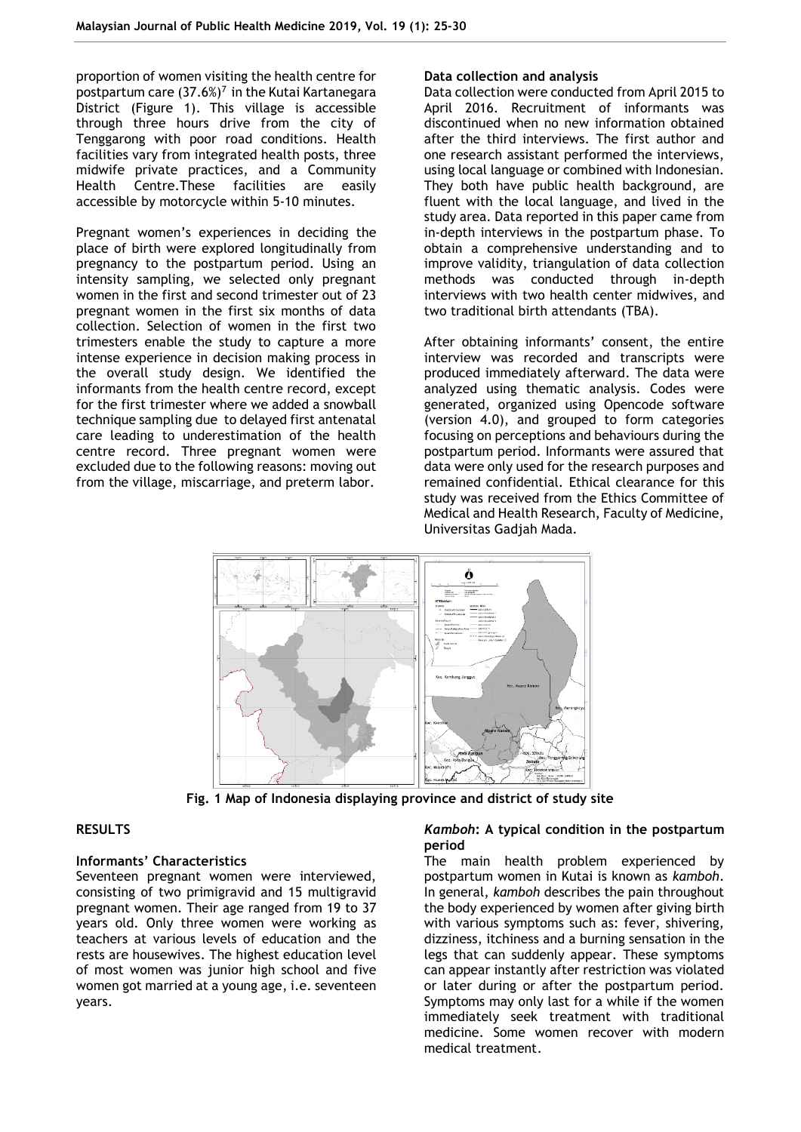proportion of women visiting the health centre for postpartum care  $(37.6\%)^7$  in the Kutai Kartanegara District (Figure 1). This village is accessible through three hours drive from the city of Tenggarong with poor road conditions. Health facilities vary from integrated health posts, three midwife private practices, and a Community Health Centre.These facilities are easily accessible by motorcycle within 5-10 minutes.

Pregnant women's experiences in deciding the place of birth were explored longitudinally from pregnancy to the postpartum period. Using an intensity sampling, we selected only pregnant women in the first and second trimester out of 23 pregnant women in the first six months of data collection. Selection of women in the first two trimesters enable the study to capture a more intense experience in decision making process in the overall study design. We identified the informants from the health centre record, except for the first trimester where we added a snowball technique sampling due to delayed first antenatal care leading to underestimation of the health centre record. Three pregnant women were excluded due to the following reasons: moving out from the village, miscarriage, and preterm labor.

## **Data collection and analysis**

Data collection were conducted from April 2015 to April 2016. Recruitment of informants was discontinued when no new information obtained after the third interviews. The first author and one research assistant performed the interviews, using local language or combined with Indonesian. They both have public health background, are fluent with the local language, and lived in the study area. Data reported in this paper came from in-depth interviews in the postpartum phase. To obtain a comprehensive understanding and to improve validity, triangulation of data collection methods was conducted through in-depth interviews with two health center midwives, and two traditional birth attendants (TBA).

After obtaining informants' consent, the entire interview was recorded and transcripts were produced immediately afterward. The data were analyzed using thematic analysis. Codes were generated, organized using Opencode software (version 4.0), and grouped to form categories focusing on perceptions and behaviours during the postpartum period. Informants were assured that data were only used for the research purposes and remained confidential. Ethical clearance for this study was received from the Ethics Committee of Medical and Health Research, Faculty of Medicine, Universitas Gadjah Mada.



**Fig. 1 Map of Indonesia displaying province and district of study site**

# **RESULTS**

### **Informants' Characteristics**

Seventeen pregnant women were interviewed, consisting of two primigravid and 15 multigravid pregnant women. Their age ranged from 19 to 37 years old. Only three women were working as teachers at various levels of education and the rests are housewives. The highest education level of most women was junior high school and five women got married at a young age, i.e. seventeen years.

## *Kamboh***: A typical condition in the postpartum period**

The main health problem experienced by postpartum women in Kutai is known as *kamboh*. In general, *kamboh* describes the pain throughout the body experienced by women after giving birth with various symptoms such as: fever, shivering, dizziness, itchiness and a burning sensation in the legs that can suddenly appear. These symptoms can appear instantly after restriction was violated or later during or after the postpartum period. Symptoms may only last for a while if the women immediately seek treatment with traditional medicine. Some women recover with modern medical treatment.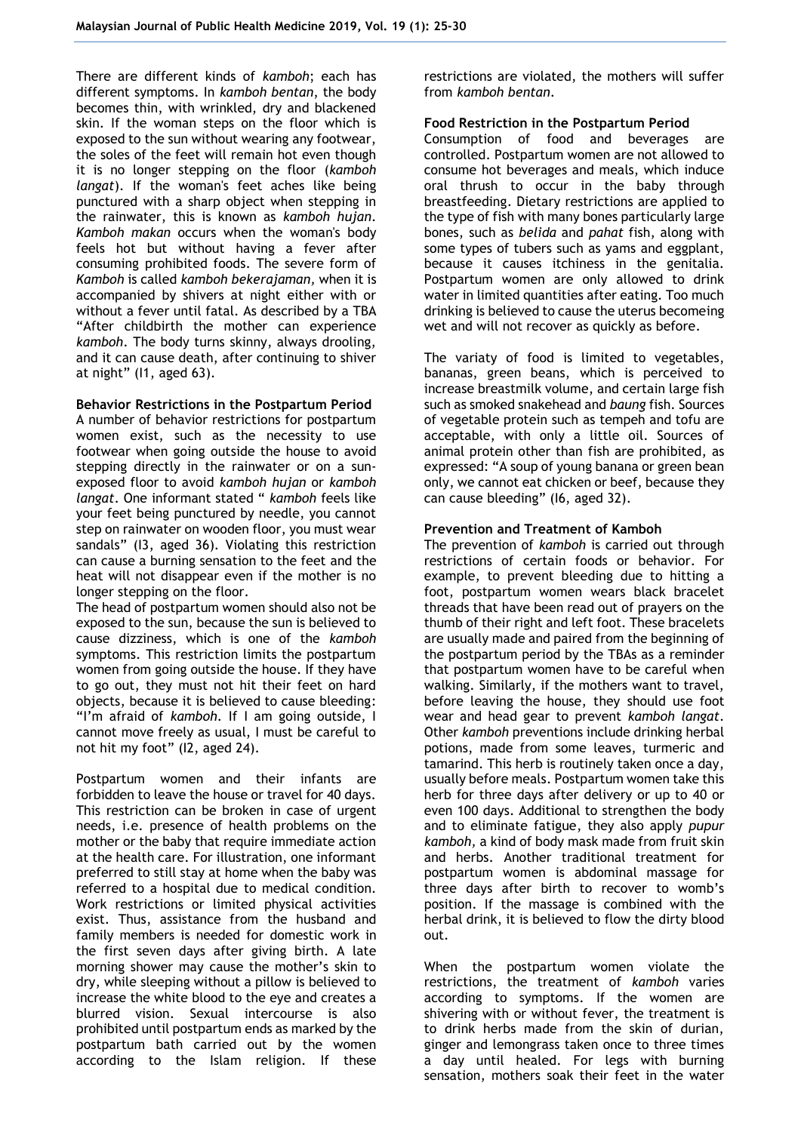There are different kinds of *kamboh*; each has different symptoms. In *kamboh bentan*, the body becomes thin, with wrinkled, dry and blackened skin. If the woman steps on the floor which is exposed to the sun without wearing any footwear, the soles of the feet will remain hot even though it is no longer stepping on the floor (*kamboh langat*). If the woman's feet aches like being punctured with a sharp object when stepping in the rainwater, this is known as *kamboh hujan*. *Kamboh makan* occurs when the woman's body feels hot but without having a fever after consuming prohibited foods. The severe form of *Kamboh* is called *kamboh bekerajaman,* when it is accompanied by shivers at night either with or without a fever until fatal. As described by a TBA "After childbirth the mother can experience *kamboh*. The body turns skinny, always drooling, and it can cause death, after continuing to shiver at night" (I1, aged 63).

# **Behavior Restrictions in the Postpartum Period**

A number of behavior restrictions for postpartum women exist, such as the necessity to use footwear when going outside the house to avoid stepping directly in the rainwater or on a sunexposed floor to avoid *kamboh hujan* or *kamboh langat*. One informant stated " *kamboh* feels like your feet being punctured by needle, you cannot step on rainwater on wooden floor, you must wear sandals" (I3, aged 36). Violating this restriction can cause a burning sensation to the feet and the heat will not disappear even if the mother is no longer stepping on the floor.

The head of postpartum women should also not be exposed to the sun, because the sun is believed to cause dizziness, which is one of the *kamboh* symptoms. This restriction limits the postpartum women from going outside the house. If they have to go out, they must not hit their feet on hard objects, because it is believed to cause bleeding: "I'm afraid of *kamboh.* If I am going outside, I cannot move freely as usual, I must be careful to not hit my foot" (I2, aged 24).

Postpartum women and their infants are forbidden to leave the house or travel for 40 days. This restriction can be broken in case of urgent needs, i.e. presence of health problems on the mother or the baby that require immediate action at the health care. For illustration, one informant preferred to still stay at home when the baby was referred to a hospital due to medical condition. Work restrictions or limited physical activities exist. Thus, assistance from the husband and family members is needed for domestic work in the first seven days after giving birth. A late morning shower may cause the mother's skin to dry, while sleeping without a pillow is believed to increase the white blood to the eye and creates a blurred vision. Sexual intercourse is also prohibited until postpartum ends as marked by the postpartum bath carried out by the women according to the Islam religion. If these

restrictions are violated, the mothers will suffer from *kamboh bentan*.

## **Food Restriction in the Postpartum Period**

Consumption of food and beverages are controlled. Postpartum women are not allowed to consume hot beverages and meals, which induce oral thrush to occur in the baby through breastfeeding. Dietary restrictions are applied to the type of fish with many bones particularly large bones, such as *belida* and *pahat* fish, along with some types of tubers such as yams and eggplant, because it causes itchiness in the genitalia. Postpartum women are only allowed to drink water in limited quantities after eating. Too much drinking is believed to cause the uterus becomeing wet and will not recover as quickly as before.

The variaty of food is limited to vegetables, bananas, green beans, which is perceived to increase breastmilk volume, and certain large fish such as smoked snakehead and *baung* fish. Sources of vegetable protein such as tempeh and tofu are acceptable, with only a little oil. Sources of animal protein other than fish are prohibited, as expressed: "A soup of young banana or green bean only, we cannot eat chicken or beef, because they can cause bleeding" (I6, aged 32).

### **Prevention and Treatment of Kamboh**

The prevention of *kamboh* is carried out through restrictions of certain foods or behavior. For example, to prevent bleeding due to hitting a foot, postpartum women wears black bracelet threads that have been read out of prayers on the thumb of their right and left foot. These bracelets are usually made and paired from the beginning of the postpartum period by the TBAs as a reminder that postpartum women have to be careful when walking. Similarly, if the mothers want to travel, before leaving the house, they should use foot wear and head gear to prevent *kamboh langat*. Other *kamboh* preventions include drinking herbal potions, made from some leaves, turmeric and tamarind. This herb is routinely taken once a day, usually before meals. Postpartum women take this herb for three days after delivery or up to 40 or even 100 days. Additional to strengthen the body and to eliminate fatigue, they also apply *pupur kamboh,* a kind of body mask made from fruit skin and herbs. Another traditional treatment for postpartum women is abdominal massage for three days after birth to recover to womb's position. If the massage is combined with the herbal drink, it is believed to flow the dirty blood out.

When the postpartum women violate the restrictions, the treatment of *kamboh* varies according to symptoms. If the women are shivering with or without fever, the treatment is to drink herbs made from the skin of durian, ginger and lemongrass taken once to three times a day until healed. For legs with burning sensation, mothers soak their feet in the water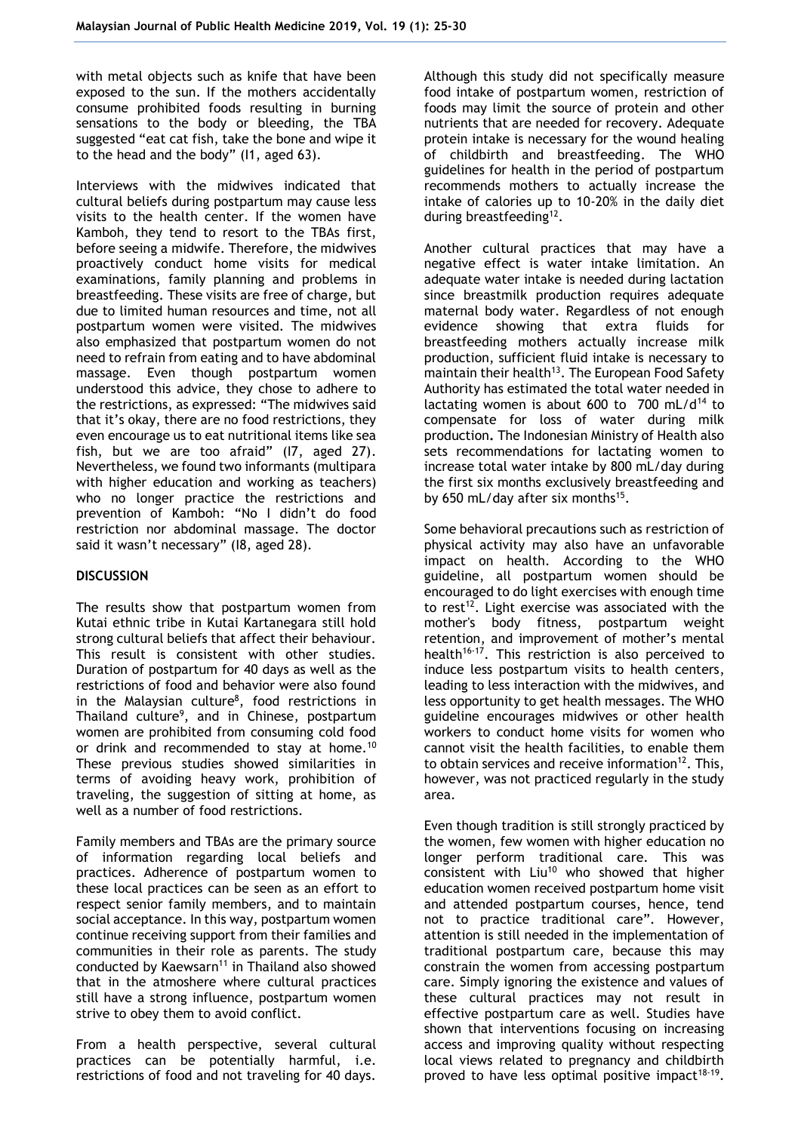with metal objects such as knife that have been exposed to the sun. If the mothers accidentally consume prohibited foods resulting in burning sensations to the body or bleeding, the TBA suggested "eat cat fish, take the bone and wipe it to the head and the body" (I1, aged 63).

Interviews with the midwives indicated that cultural beliefs during postpartum may cause less visits to the health center. If the women have Kamboh, they tend to resort to the TBAs first, before seeing a midwife. Therefore, the midwives proactively conduct home visits for medical examinations, family planning and problems in breastfeeding. These visits are free of charge, but due to limited human resources and time, not all postpartum women were visited. The midwives also emphasized that postpartum women do not need to refrain from eating and to have abdominal massage. Even though postpartum women understood this advice, they chose to adhere to the restrictions, as expressed: "The midwives said that it's okay, there are no food restrictions, they even encourage us to eat nutritional items like sea fish, but we are too afraid" (I7, aged 27). Nevertheless, we found two informants (multipara with higher education and working as teachers) who no longer practice the restrictions and prevention of Kamboh: "No I didn't do food restriction nor abdominal massage. The doctor said it wasn't necessary" (I8, aged 28).

### **DISCUSSION**

The results show that postpartum women from Kutai ethnic tribe in Kutai Kartanegara still hold strong cultural beliefs that affect their behaviour. This result is consistent with other studies. Duration of postpartum for 40 days as well as the restrictions of food and behavior were also found in the Malaysian culture<sup>8</sup>, food restrictions in Thailand culture<sup>9</sup>, and in Chinese, postpartum women are prohibited from consuming cold food or drink and recommended to stay at home.<sup>10</sup> These previous studies showed similarities in terms of avoiding heavy work, prohibition of traveling, the suggestion of sitting at home, as well as a number of food restrictions.

Family members and TBAs are the primary source of information regarding local beliefs and practices. Adherence of postpartum women to these local practices can be seen as an effort to respect senior family members, and to maintain social acceptance. In this way, postpartum women continue receiving support from their families and communities in their role as parents. The study conducted by Kaewsarn<sup>11</sup> in Thailand also showed that in the atmoshere where cultural practices still have a strong influence, postpartum women strive to obey them to avoid conflict.

From a health perspective, several cultural practices can be potentially harmful, i.e. restrictions of food and not traveling for 40 days.

Although this study did not specifically measure food intake of postpartum women, restriction of foods may limit the source of protein and other nutrients that are needed for recovery. Adequate protein intake is necessary for the wound healing of childbirth and breastfeeding. The WHO guidelines for health in the period of postpartum recommends mothers to actually increase the intake of calories up to 10-20% in the daily diet during breastfeeding<sup>12</sup>.

Another cultural practices that may have a negative effect is water intake limitation. An adequate water intake is needed during lactation since breastmilk production requires adequate maternal body water. Regardless of not enough evidence showing that extra fluids for breastfeeding mothers actually increase milk production, sufficient fluid intake is necessary to maintain their health<sup>13</sup>. The European Food Safety Authority has estimated the total water needed in lactating women is about 600 to 700 mL/ $d^{14}$  to compensate for loss of water during milk production**.** The Indonesian Ministry of Health also sets recommendations for lactating women to increase total water intake by 800 mL/day during the first six months exclusively breastfeeding and by 650 mL/day after six months<sup>15</sup>.

Some behavioral precautions such as restriction of physical activity may also have an unfavorable impact on health. According to the WHO guideline, all postpartum women should be encouraged to do light exercises with enough time to rest<sup>12</sup>. Light exercise was associated with the mother's body fitness, postpartum weight retention, and improvement of mother's mental health<sup>16-17</sup>. This restriction is also perceived to induce less postpartum visits to health centers, leading to less interaction with the midwives, and less opportunity to get health messages. The WHO guideline encourages midwives or other health workers to conduct home visits for women who cannot visit the health facilities, to enable them to obtain services and receive information $12$ . This, however, was not practiced regularly in the study area.

Even though tradition is still strongly practiced by the women, few women with higher education no longer perform traditional care. This was consistent with  $Liu^{10}$  who showed that higher education women received postpartum home visit and attended postpartum courses, hence, tend not to practice traditional care". However, attention is still needed in the implementation of traditional postpartum care, because this may constrain the women from accessing postpartum care. Simply ignoring the existence and values of these cultural practices may not result in effective postpartum care as well. Studies have shown that interventions focusing on increasing access and improving quality without respecting local views related to pregnancy and childbirth proved to have less optimal positive impact $18-19$ .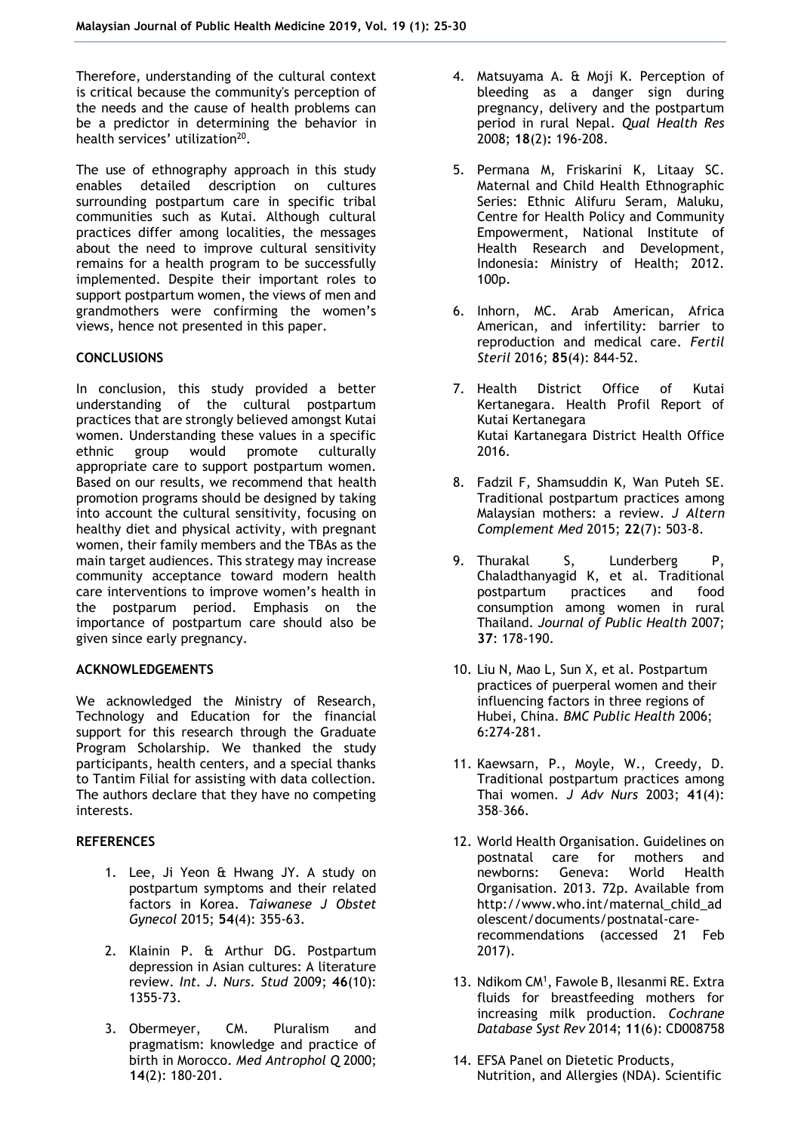Therefore, understanding of the cultural context is critical because the community's perception of the needs and the cause of health problems can be a predictor in determining the behavior in health services' utilization<sup>20</sup>.

The use of ethnography approach in this study enables detailed description on cultures surrounding postpartum care in specific tribal communities such as Kutai. Although cultural practices differ among localities, the messages about the need to improve cultural sensitivity remains for a health program to be successfully implemented. Despite their important roles to support postpartum women, the views of men and grandmothers were confirming the women's views, hence not presented in this paper.

# **CONCLUSIONS**

In conclusion, this study provided a better understanding of the cultural postpartum practices that are strongly believed amongst Kutai women. Understanding these values in a specific ethnic group would promote culturally appropriate care to support postpartum women. Based on our results, we recommend that health promotion programs should be designed by taking into account the cultural sensitivity, focusing on healthy diet and physical activity, with pregnant women, their family members and the TBAs as the main target audiences. This strategy may increase community acceptance toward modern health care interventions to improve women's health in the postparum period. Emphasis on the importance of postpartum care should also be given since early pregnancy.

# **ACKNOWLEDGEMENTS**

We acknowledged the Ministry of Research, Technology and Education for the financial support for this research through the Graduate Program Scholarship. We thanked the study participants, health centers, and a special thanks to Tantim Filial for assisting with data collection. The authors declare that they have no competing interests.

# **REFERENCES**

- 1. Lee, Ji Yeon & Hwang JY. A study on postpartum symptoms and their related factors in Korea. *Taiwanese J Obstet Gynecol* 2015; **54**(4): 355-63.
- 2. Klainin P. & Arthur DG. Postpartum depression in Asian cultures: A literature review. *Int. J. Nurs. Stud* 2009; **46**(10): 1355-73.
- 3. Obermeyer, CM. Pluralism and pragmatism: knowledge and practice of birth in Morocco. *Med Antrophol Q* 2000; **14**(2): 180-201.
- 4. Matsuyama A. & Moji K. Perception of bleeding as a danger sign during pregnancy, delivery and the postpartum period in rural Nepal. *Qual Health Res* 2008; **18**(2)**:** 196-208.
- 5. Permana M, Friskarini K, Litaay SC. Maternal and Child Health Ethnographic Series: Ethnic Alifuru Seram, Maluku, Centre for Health Policy and Community Empowerment, National Institute of Health Research and Development, Indonesia: Ministry of Health; 2012. 100p.
- 6. Inhorn, MC. Arab American, Africa American, and infertility: barrier to reproduction and medical care. *Fertil Steril* 2016; **85**(4): 844-52.
- 7. Health District Office of Kutai Kertanegara. Health Profil Report of Kutai Kertanegara Kutai Kartanegara District Health Office 2016.
- 8. Fadzil F, Shamsuddin K, Wan Puteh SE. Traditional postpartum practices among Malaysian mothers: a review. *J Altern Complement Med* 2015; **22**(7): 503-8.
- 9. Thurakal S, Lunderberg P, Chaladthanyagid K, et al. Traditional postpartum practices and food consumption among women in rural Thailand. *Journal of Public Health* 2007; **37**: 178-190.
- 10. Liu N, Mao L, Sun X, et al. Postpartum practices of puerperal women and their influencing factors in three regions of Hubei, China. *BMC Public Health* 2006; 6:274-281.
- 11. Kaewsarn, P., Moyle, W., Creedy, D. Traditional postpartum practices among Thai women. *J Adv Nurs* 2003; **41**(4): 358–366.
- 12. World Health Organisation. Guidelines on postnatal care for mothers and newborns: Geneva: World Health Organisation. 2013. 72p. Available from http://www.who.int/maternal\_child\_ad olescent/documents/postnatal-carerecommendations (accessed 21 Feb 2017).
- 13. [Ndikom CM](https://www.ncbi.nlm.nih.gov/pubmed/?term=Ndikom%20CM%5BAuthor%5D&cauthor=true&cauthor_uid=24916640)<sup>1</sup>, [Fawole B,](https://www.ncbi.nlm.nih.gov/pubmed/?term=Fawole%20B%5BAuthor%5D&cauthor=true&cauthor_uid=24916640) [Ilesanmi RE.](https://www.ncbi.nlm.nih.gov/pubmed/?term=Ilesanmi%20RE%5BAuthor%5D&cauthor=true&cauthor_uid=24916640) Extra fluids for breastfeeding mothers for increasing milk production. *Cochrane Database Syst Rev* 2014; **11**(6): CD008758
- 14. EFSA Panel on Dietetic Products, Nutrition, and Allergies (NDA). Scientific